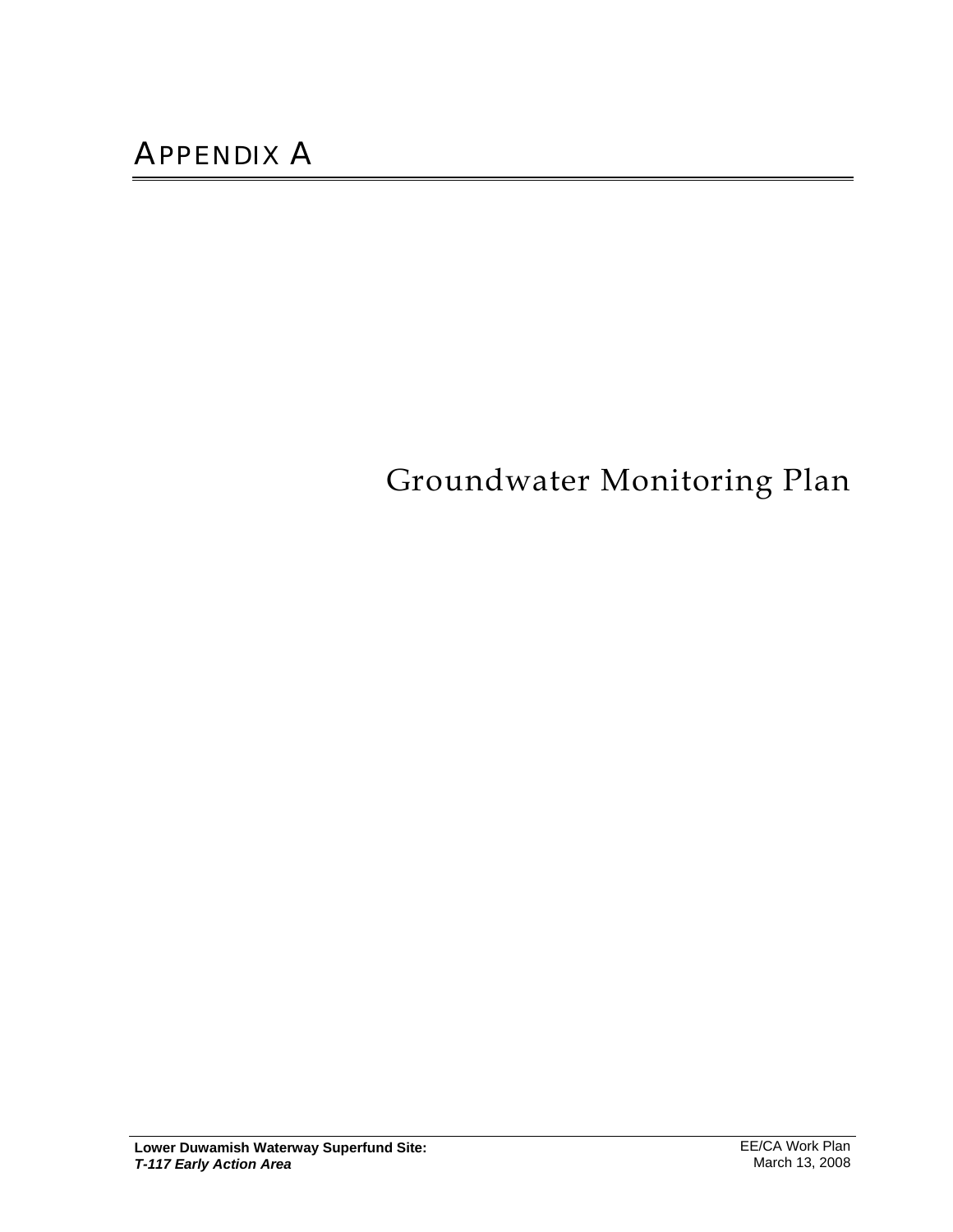# Groundwater Monitoring Plan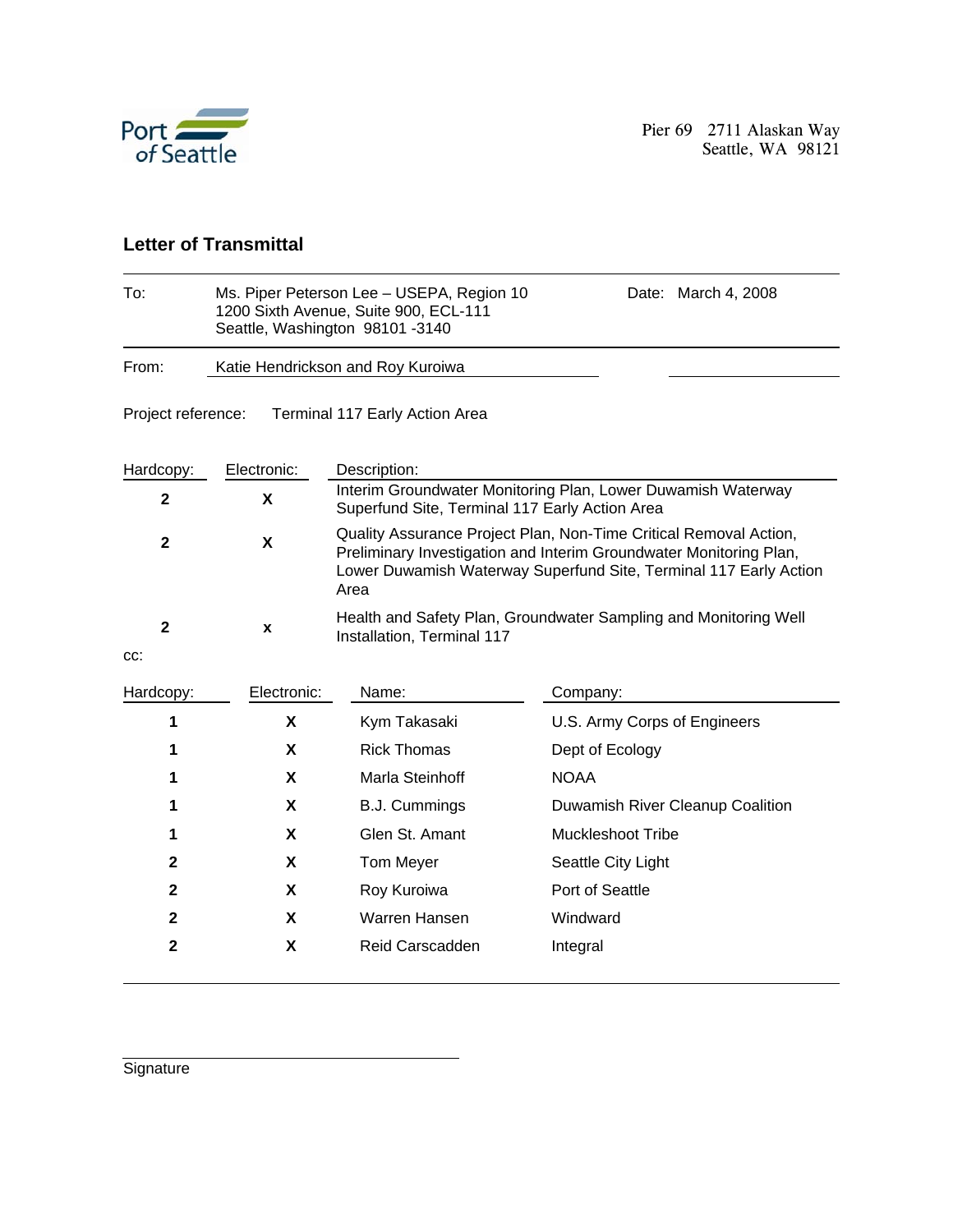

#### **Letter of Transmittal**

| To:                                                  |                                                                                                                | Ms. Piper Peterson Lee - USEPA, Region 10<br>March 4, 2008<br>Date:<br>1200 Sixth Avenue, Suite 900, ECL-111<br>Seattle, Washington 98101-3140                                                                       |                                  |  |  |  |  |  |
|------------------------------------------------------|----------------------------------------------------------------------------------------------------------------|----------------------------------------------------------------------------------------------------------------------------------------------------------------------------------------------------------------------|----------------------------------|--|--|--|--|--|
| From:                                                | Katie Hendrickson and Roy Kuroiwa                                                                              |                                                                                                                                                                                                                      |                                  |  |  |  |  |  |
| Project reference:<br>Terminal 117 Early Action Area |                                                                                                                |                                                                                                                                                                                                                      |                                  |  |  |  |  |  |
| Hardcopy:                                            | Electronic:                                                                                                    | Description:                                                                                                                                                                                                         |                                  |  |  |  |  |  |
| $\mathbf 2$                                          | Interim Groundwater Monitoring Plan, Lower Duwamish Waterway<br>Superfund Site, Terminal 117 Early Action Area |                                                                                                                                                                                                                      |                                  |  |  |  |  |  |
| $\mathbf{2}$                                         | $\boldsymbol{\mathsf{X}}$                                                                                      | Quality Assurance Project Plan, Non-Time Critical Removal Action,<br>Preliminary Investigation and Interim Groundwater Monitoring Plan,<br>Lower Duwamish Waterway Superfund Site, Terminal 117 Early Action<br>Area |                                  |  |  |  |  |  |
| $\mathbf{2}$<br>CC:                                  | X                                                                                                              | Health and Safety Plan, Groundwater Sampling and Monitoring Well<br>Installation, Terminal 117                                                                                                                       |                                  |  |  |  |  |  |
| Hardcopy:                                            | Electronic:                                                                                                    | Name:                                                                                                                                                                                                                | Company:                         |  |  |  |  |  |
| 1                                                    | X                                                                                                              | Kym Takasaki                                                                                                                                                                                                         | U.S. Army Corps of Engineers     |  |  |  |  |  |
| 1                                                    | X                                                                                                              | <b>Rick Thomas</b>                                                                                                                                                                                                   | Dept of Ecology                  |  |  |  |  |  |
| 1                                                    | X                                                                                                              | Marla Steinhoff                                                                                                                                                                                                      | <b>NOAA</b>                      |  |  |  |  |  |
| 1                                                    | X                                                                                                              | <b>B.J. Cummings</b>                                                                                                                                                                                                 | Duwamish River Cleanup Coalition |  |  |  |  |  |
| 1                                                    | X                                                                                                              | Glen St. Amant                                                                                                                                                                                                       | <b>Muckleshoot Tribe</b>         |  |  |  |  |  |
| $\mathbf{2}$                                         | X                                                                                                              | <b>Tom Meyer</b>                                                                                                                                                                                                     | Seattle City Light               |  |  |  |  |  |
| $\mathbf{2}$                                         | X                                                                                                              | Roy Kuroiwa                                                                                                                                                                                                          | Port of Seattle                  |  |  |  |  |  |
| $\mathbf{2}$                                         | X                                                                                                              | Warren Hansen                                                                                                                                                                                                        | Windward                         |  |  |  |  |  |
| $\mathbf{2}$<br>X<br><b>Reid Carscadden</b>          |                                                                                                                | Integral                                                                                                                                                                                                             |                                  |  |  |  |  |  |

**Signature**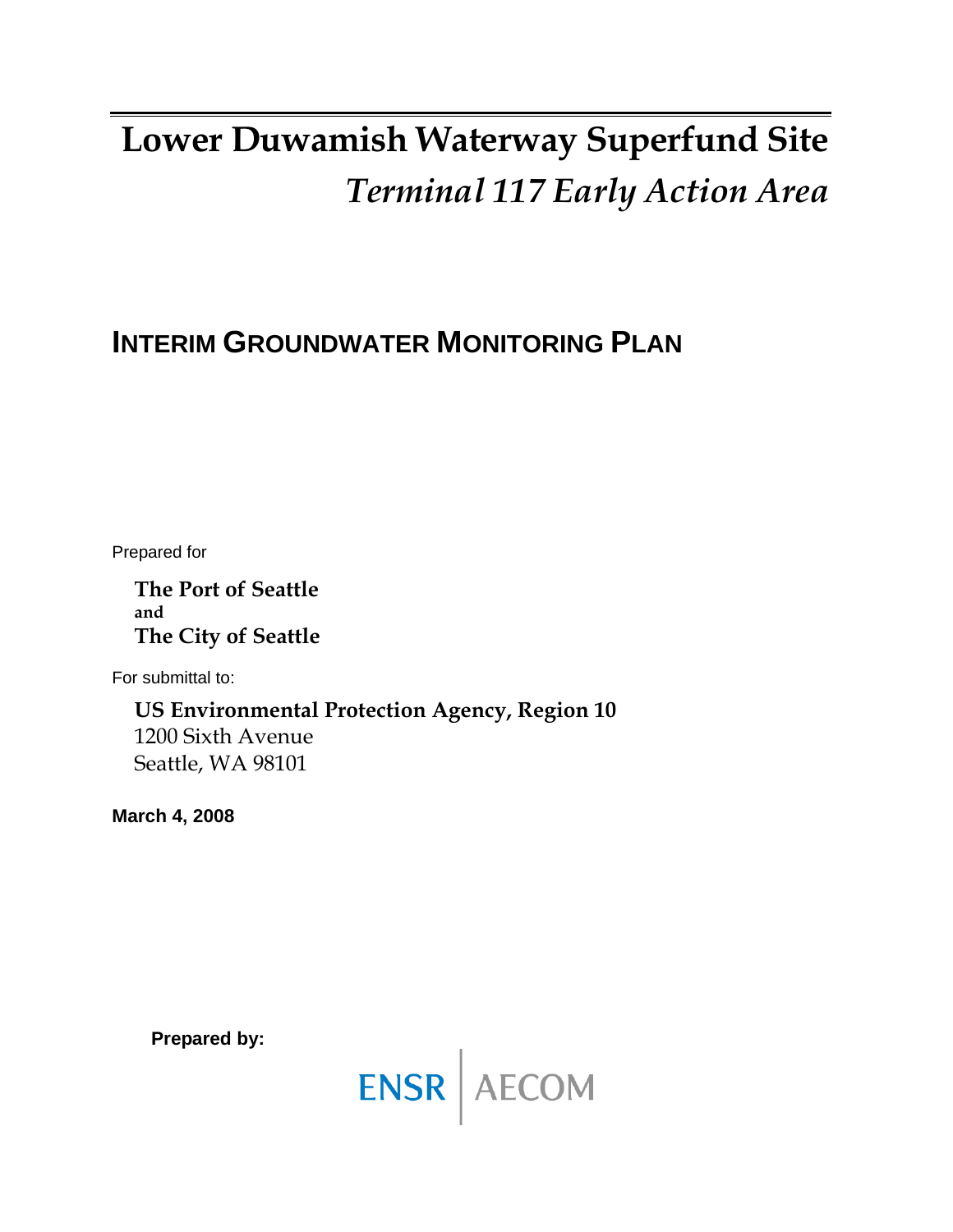# **Lower Duwamish Waterway Superfund Site**  *Terminal 117 Early Action Area*

# **INTERIM GROUNDWATER MONITORING PLAN**

Prepared for

**The Port of Seattle and The City of Seattle** 

For submittal to:

**US Environmental Protection Agency, Region 10**  1200 Sixth Avenue Seattle, WA 98101

**March 4, 2008** 

**Prepared by:** 

ENSR AECOM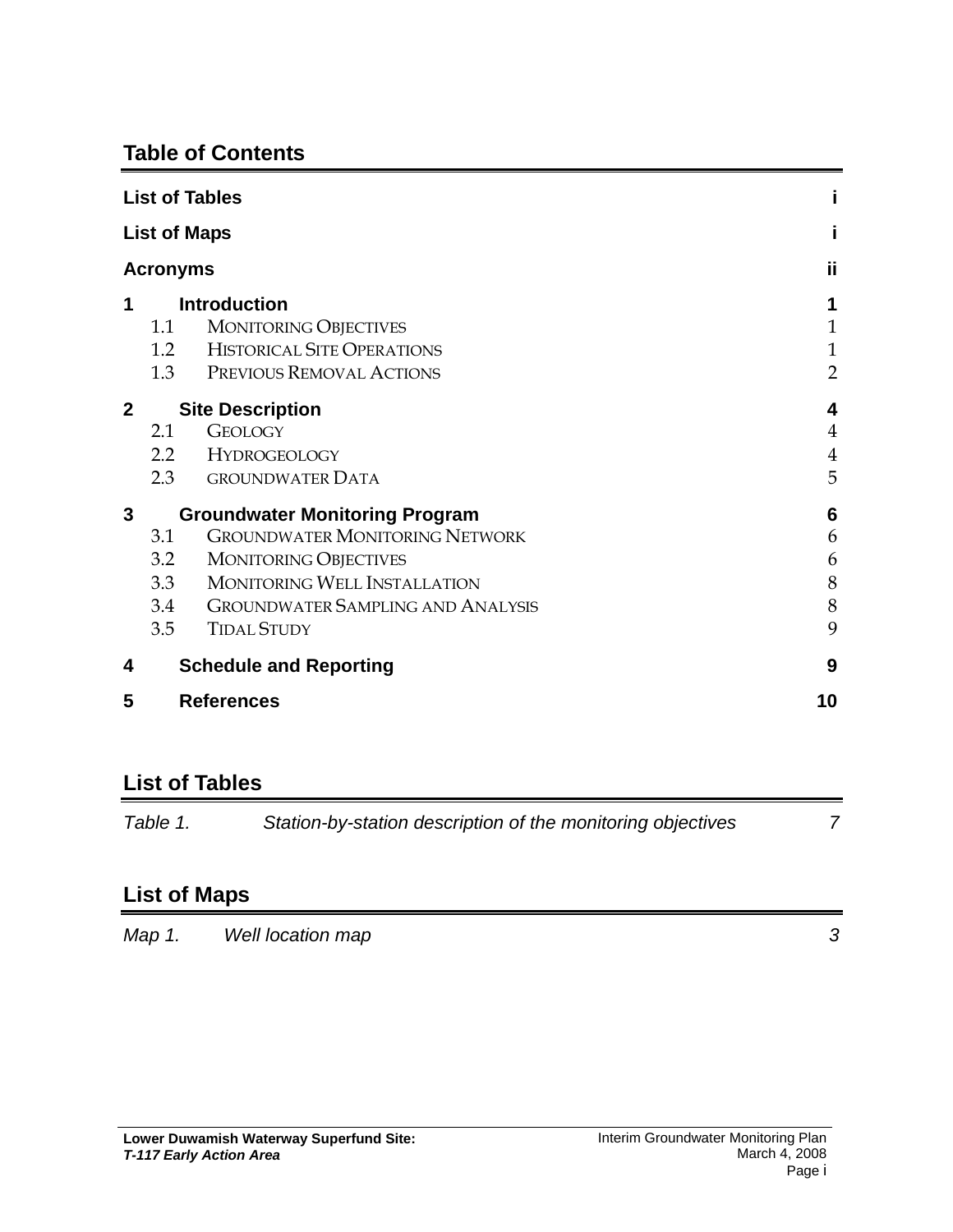## **Table of Contents**

| <b>List of Tables</b>  |                                       |                                                                                                                      |                                                     |
|------------------------|---------------------------------------|----------------------------------------------------------------------------------------------------------------------|-----------------------------------------------------|
| <b>List of Maps</b>    |                                       |                                                                                                                      |                                                     |
| <b>Acronyms</b>        |                                       |                                                                                                                      | ij                                                  |
| 1                      | 1.1<br>1.2<br>1.3                     | <b>Introduction</b><br><b>MONITORING OBJECTIVES</b><br><b>HISTORICAL SITE OPERATIONS</b><br>PREVIOUS REMOVAL ACTIONS | 1<br>$\mathbf{1}$<br>$\mathbf{1}$<br>$\overline{2}$ |
| $\overline{2}$         |                                       | <b>Site Description</b>                                                                                              | 4                                                   |
|                        | 2.1                                   | <b>GEOLOGY</b>                                                                                                       | $\overline{4}$                                      |
|                        |                                       | 2.2 HYDROGEOLOGY                                                                                                     | $\overline{4}$                                      |
|                        | 2.3                                   | <b>GROUNDWATER DATA</b>                                                                                              | 5                                                   |
| 3                      | <b>Groundwater Monitoring Program</b> |                                                                                                                      | 6                                                   |
|                        | 3.1                                   | <b>GROUNDWATER MONITORING NETWORK</b>                                                                                | 6                                                   |
|                        | 3.2                                   | <b>MONITORING OBJECTIVES</b>                                                                                         | 6                                                   |
|                        | 3.3                                   | <b>MONITORING WELL INSTALLATION</b>                                                                                  | 8                                                   |
|                        | 3.4                                   | <b>GROUNDWATER SAMPLING AND ANALYSIS</b>                                                                             | 8                                                   |
|                        | 3.5                                   | <b>TIDAL STUDY</b>                                                                                                   | 9                                                   |
| 4                      |                                       | <b>Schedule and Reporting</b>                                                                                        | 9                                                   |
| 5<br><b>References</b> |                                       |                                                                                                                      | 10                                                  |

# **List of Tables**

| Table 1. | Station-by-station description of the monitoring objectives |  |
|----------|-------------------------------------------------------------|--|
|          |                                                             |  |

# **List of Maps**

*Map 1. Well location map* 3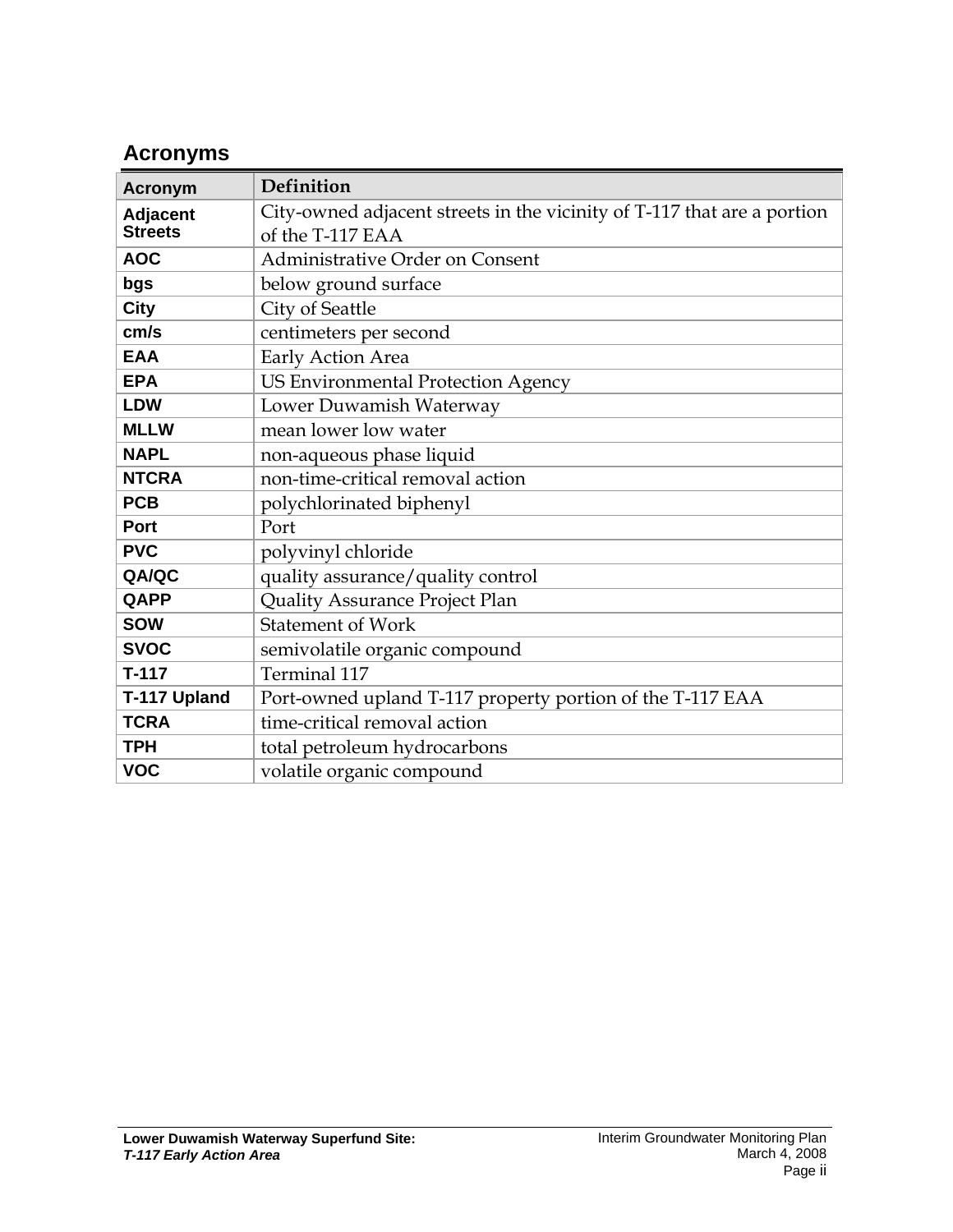# **Acronyms**

| <b>Acronym</b>  | Definition                                                              |  |  |  |
|-----------------|-------------------------------------------------------------------------|--|--|--|
| <b>Adjacent</b> | City-owned adjacent streets in the vicinity of T-117 that are a portion |  |  |  |
| <b>Streets</b>  | of the T-117 EAA                                                        |  |  |  |
| <b>AOC</b>      | Administrative Order on Consent                                         |  |  |  |
| bgs             | below ground surface                                                    |  |  |  |
| <b>City</b>     | City of Seattle                                                         |  |  |  |
| cm/s            | centimeters per second                                                  |  |  |  |
| <b>EAA</b>      | Early Action Area                                                       |  |  |  |
| <b>EPA</b>      | <b>US Environmental Protection Agency</b>                               |  |  |  |
| <b>LDW</b>      | Lower Duwamish Waterway                                                 |  |  |  |
| <b>MLLW</b>     | mean lower low water                                                    |  |  |  |
| <b>NAPL</b>     | non-aqueous phase liquid                                                |  |  |  |
| <b>NTCRA</b>    | non-time-critical removal action                                        |  |  |  |
| <b>PCB</b>      | polychlorinated biphenyl                                                |  |  |  |
| Port            | Port                                                                    |  |  |  |
| <b>PVC</b>      | polyvinyl chloride                                                      |  |  |  |
| QA/QC           | quality assurance/quality control                                       |  |  |  |
| QAPP            | Quality Assurance Project Plan                                          |  |  |  |
| <b>SOW</b>      | <b>Statement of Work</b>                                                |  |  |  |
| <b>SVOC</b>     | semivolatile organic compound                                           |  |  |  |
| $T-117$         | Terminal 117                                                            |  |  |  |
| T-117 Upland    | Port-owned upland T-117 property portion of the T-117 EAA               |  |  |  |
| <b>TCRA</b>     | time-critical removal action                                            |  |  |  |
| <b>TPH</b>      | total petroleum hydrocarbons                                            |  |  |  |
| <b>VOC</b>      | volatile organic compound                                               |  |  |  |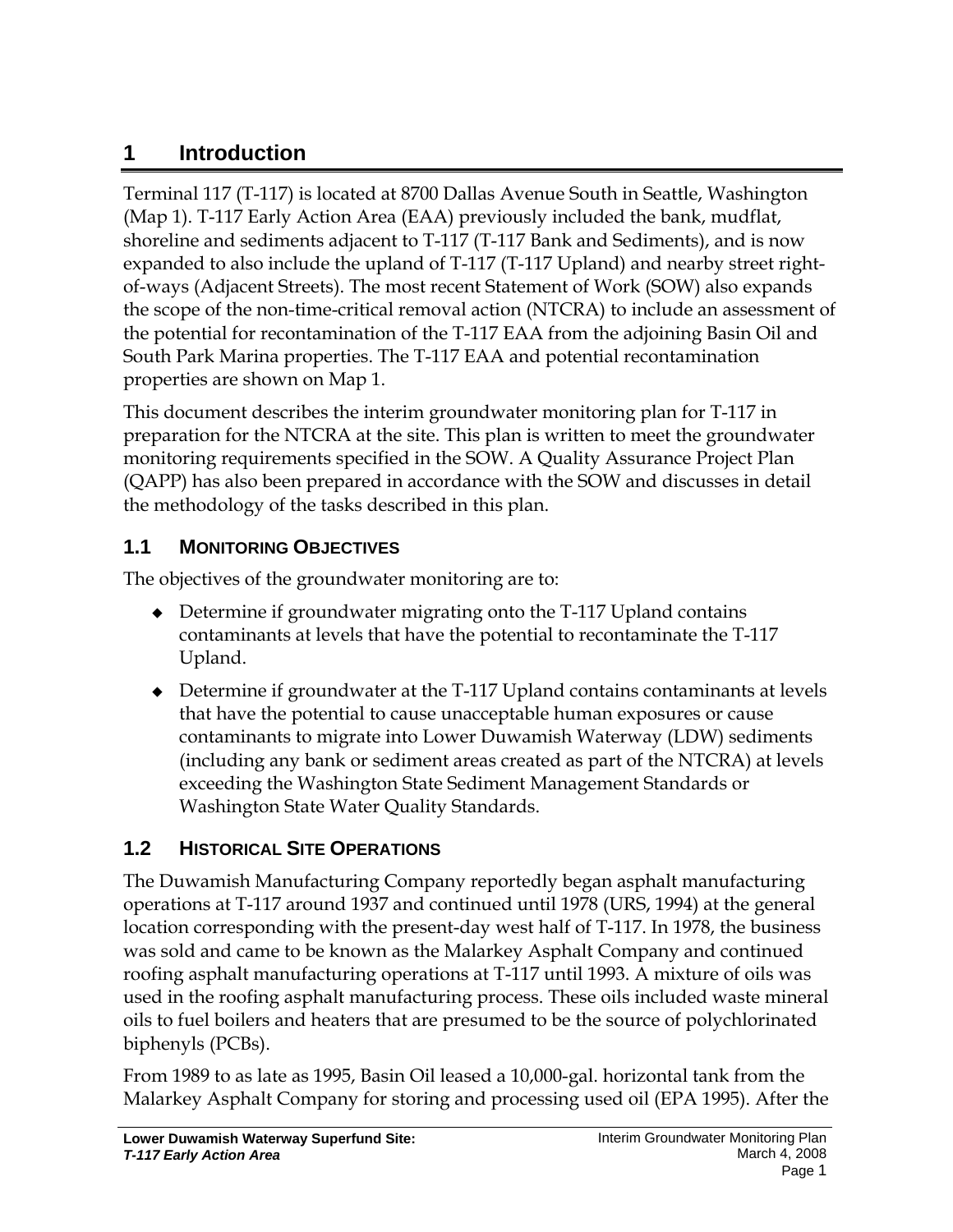# **1 Introduction**

Terminal 117 (T-117) is located at 8700 Dallas Avenue South in Seattle, Washington (Map 1). T-117 Early Action Area (EAA) previously included the bank, mudflat, shoreline and sediments adjacent to T-117 (T-117 Bank and Sediments), and is now expanded to also include the upland of T-117 (T-117 Upland) and nearby street rightof-ways (Adjacent Streets). The most recent Statement of Work (SOW) also expands the scope of the non-time-critical removal action (NTCRA) to include an assessment of the potential for recontamination of the T-117 EAA from the adjoining Basin Oil and South Park Marina properties. The T-117 EAA and potential recontamination properties are shown on Map 1.

This document describes the interim groundwater monitoring plan for T-117 in preparation for the NTCRA at the site. This plan is written to meet the groundwater monitoring requirements specified in the SOW. A Quality Assurance Project Plan (QAPP) has also been prepared in accordance with the SOW and discusses in detail the methodology of the tasks described in this plan.

## **1.1 MONITORING OBJECTIVES**

The objectives of the groundwater monitoring are to:

- Determine if groundwater migrating onto the T-117 Upland contains contaminants at levels that have the potential to recontaminate the T-117 Upland.
- Determine if groundwater at the T-117 Upland contains contaminants at levels that have the potential to cause unacceptable human exposures or cause contaminants to migrate into Lower Duwamish Waterway (LDW) sediments (including any bank or sediment areas created as part of the NTCRA) at levels exceeding the Washington State Sediment Management Standards or Washington State Water Quality Standards.

# **1.2 HISTORICAL SITE OPERATIONS**

The Duwamish Manufacturing Company reportedly began asphalt manufacturing operations at T-117 around 1937 and continued until 1978 (URS, 1994) at the general location corresponding with the present-day west half of T-117. In 1978, the business was sold and came to be known as the Malarkey Asphalt Company and continued roofing asphalt manufacturing operations at T-117 until 1993. A mixture of oils was used in the roofing asphalt manufacturing process. These oils included waste mineral oils to fuel boilers and heaters that are presumed to be the source of polychlorinated biphenyls (PCBs).

From 1989 to as late as 1995, Basin Oil leased a 10,000-gal. horizontal tank from the Malarkey Asphalt Company for storing and processing used oil (EPA 1995). After the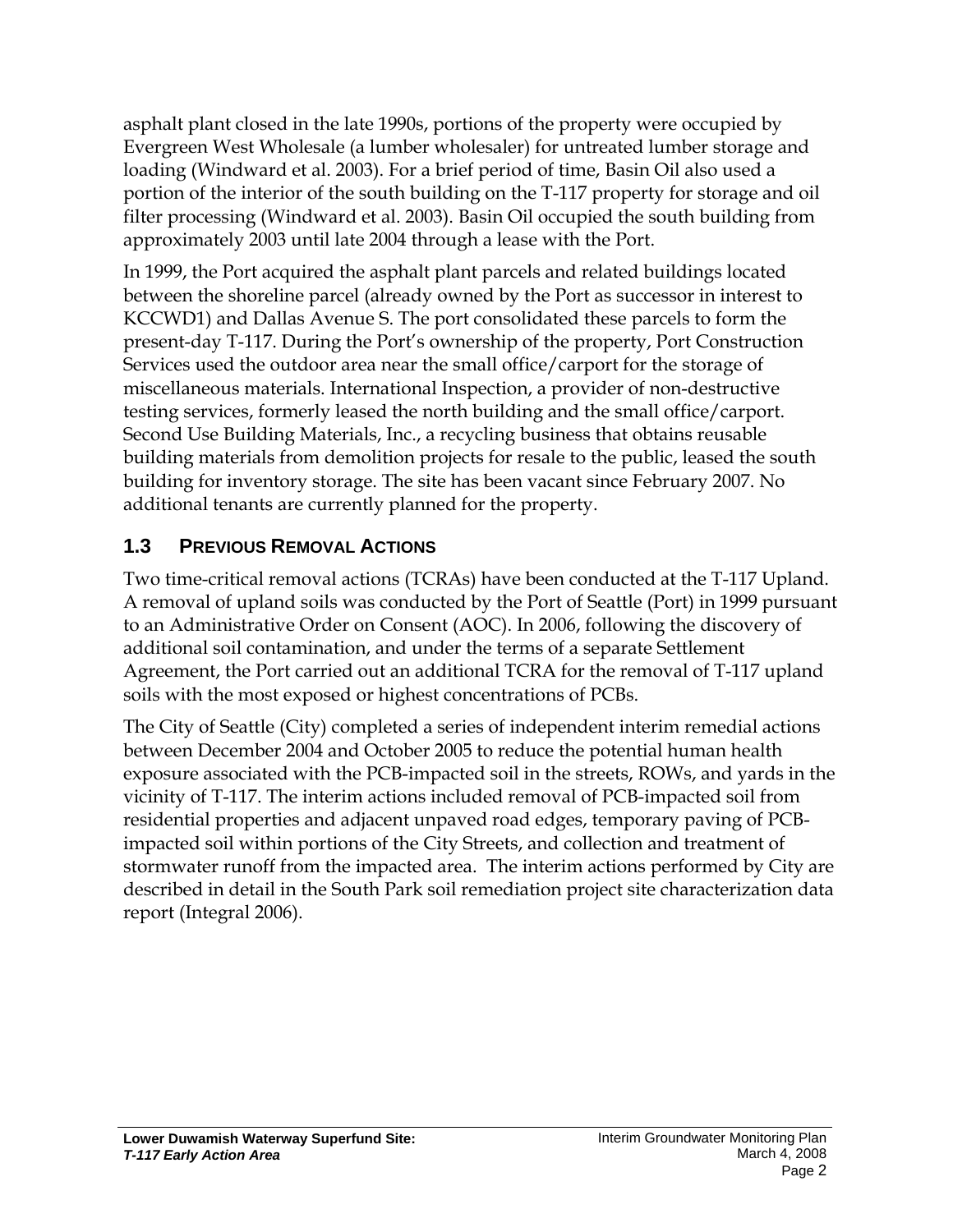asphalt plant closed in the late 1990s, portions of the property were occupied by Evergreen West Wholesale (a lumber wholesaler) for untreated lumber storage and loading (Windward et al. 2003). For a brief period of time, Basin Oil also used a portion of the interior of the south building on the T-117 property for storage and oil filter processing (Windward et al. 2003). Basin Oil occupied the south building from approximately 2003 until late 2004 through a lease with the Port.

In 1999, the Port acquired the asphalt plant parcels and related buildings located between the shoreline parcel (already owned by the Port as successor in interest to KCCWD1) and Dallas Avenue S. The port consolidated these parcels to form the present-day T-117. During the Port's ownership of the property, Port Construction Services used the outdoor area near the small office/carport for the storage of miscellaneous materials. International Inspection, a provider of non-destructive testing services, formerly leased the north building and the small office/carport. Second Use Building Materials, Inc., a recycling business that obtains reusable building materials from demolition projects for resale to the public, leased the south building for inventory storage. The site has been vacant since February 2007. No additional tenants are currently planned for the property.

## **1.3 PREVIOUS REMOVAL ACTIONS**

Two time-critical removal actions (TCRAs) have been conducted at the T-117 Upland. A removal of upland soils was conducted by the Port of Seattle (Port) in 1999 pursuant to an Administrative Order on Consent (AOC). In 2006, following the discovery of additional soil contamination, and under the terms of a separate Settlement Agreement, the Port carried out an additional TCRA for the removal of T-117 upland soils with the most exposed or highest concentrations of PCBs.

The City of Seattle (City) completed a series of independent interim remedial actions between December 2004 and October 2005 to reduce the potential human health exposure associated with the PCB-impacted soil in the streets, ROWs, and yards in the vicinity of T-117. The interim actions included removal of PCB-impacted soil from residential properties and adjacent unpaved road edges, temporary paving of PCBimpacted soil within portions of the City Streets, and collection and treatment of stormwater runoff from the impacted area. The interim actions performed by City are described in detail in the South Park soil remediation project site characterization data report (Integral 2006).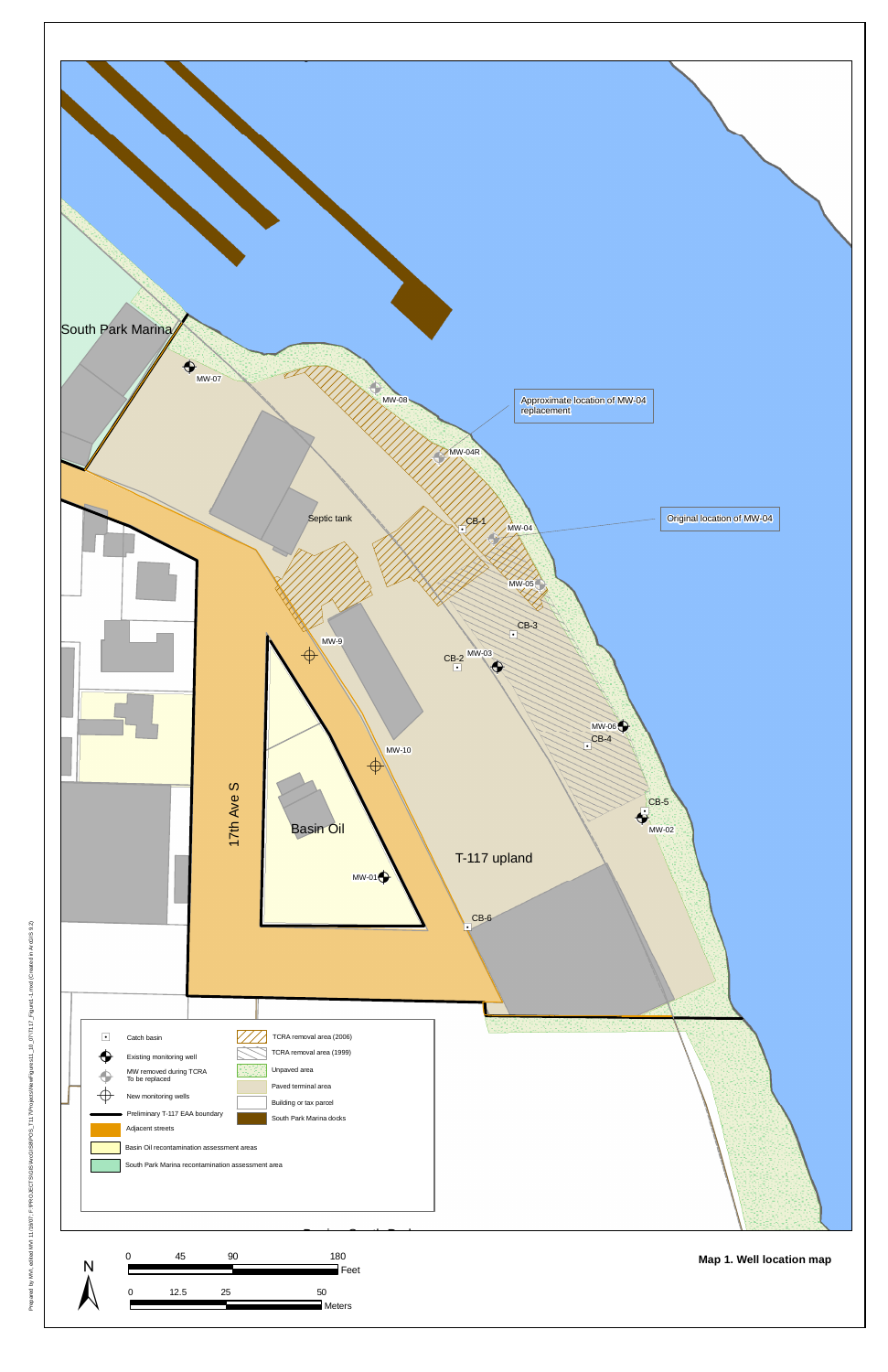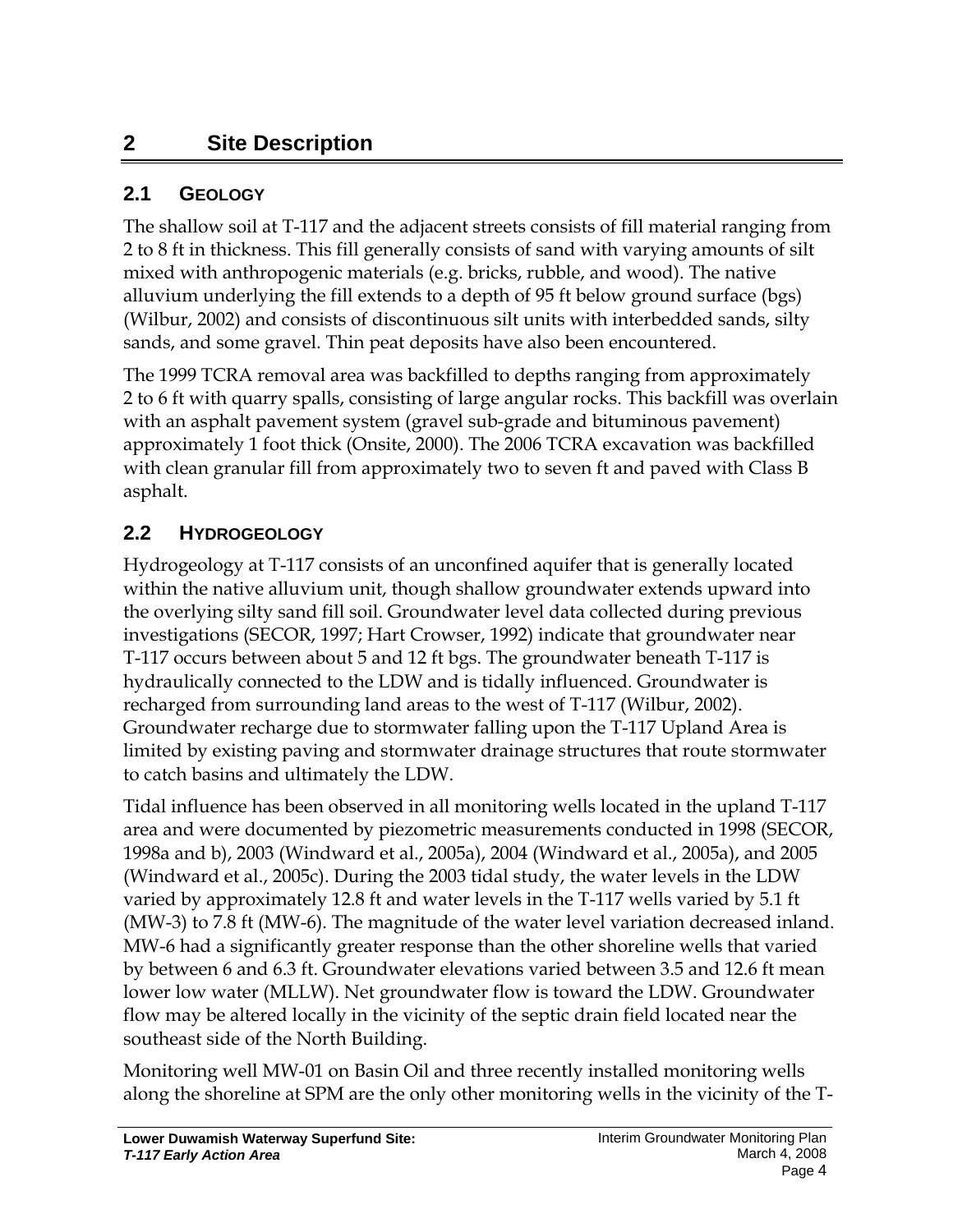# **2 Site Description**

#### **2.1 GEOLOGY**

The shallow soil at T-117 and the adjacent streets consists of fill material ranging from 2 to 8 ft in thickness. This fill generally consists of sand with varying amounts of silt mixed with anthropogenic materials (e.g. bricks, rubble, and wood). The native alluvium underlying the fill extends to a depth of 95 ft below ground surface (bgs) (Wilbur, 2002) and consists of discontinuous silt units with interbedded sands, silty sands, and some gravel. Thin peat deposits have also been encountered.

The 1999 TCRA removal area was backfilled to depths ranging from approximately 2 to 6 ft with quarry spalls, consisting of large angular rocks. This backfill was overlain with an asphalt pavement system (gravel sub-grade and bituminous pavement) approximately 1 foot thick (Onsite, 2000). The 2006 TCRA excavation was backfilled with clean granular fill from approximately two to seven ft and paved with Class B asphalt.

#### **2.2 HYDROGEOLOGY**

Hydrogeology at T-117 consists of an unconfined aquifer that is generally located within the native alluvium unit, though shallow groundwater extends upward into the overlying silty sand fill soil. Groundwater level data collected during previous investigations (SECOR, 1997; Hart Crowser, 1992) indicate that groundwater near T-117 occurs between about 5 and 12 ft bgs. The groundwater beneath T-117 is hydraulically connected to the LDW and is tidally influenced. Groundwater is recharged from surrounding land areas to the west of T-117 (Wilbur, 2002). Groundwater recharge due to stormwater falling upon the T-117 Upland Area is limited by existing paving and stormwater drainage structures that route stormwater to catch basins and ultimately the LDW.

Tidal influence has been observed in all monitoring wells located in the upland T-117 area and were documented by piezometric measurements conducted in 1998 (SECOR, 1998a and b), 2003 (Windward et al., 2005a), 2004 (Windward et al., 2005a), and 2005 (Windward et al., 2005c). During the 2003 tidal study, the water levels in the LDW varied by approximately 12.8 ft and water levels in the T-117 wells varied by 5.1 ft (MW-3) to 7.8 ft (MW-6). The magnitude of the water level variation decreased inland. MW-6 had a significantly greater response than the other shoreline wells that varied by between 6 and 6.3 ft. Groundwater elevations varied between 3.5 and 12.6 ft mean lower low water (MLLW). Net groundwater flow is toward the LDW. Groundwater flow may be altered locally in the vicinity of the septic drain field located near the southeast side of the North Building.

Monitoring well MW-01 on Basin Oil and three recently installed monitoring wells along the shoreline at SPM are the only other monitoring wells in the vicinity of the T-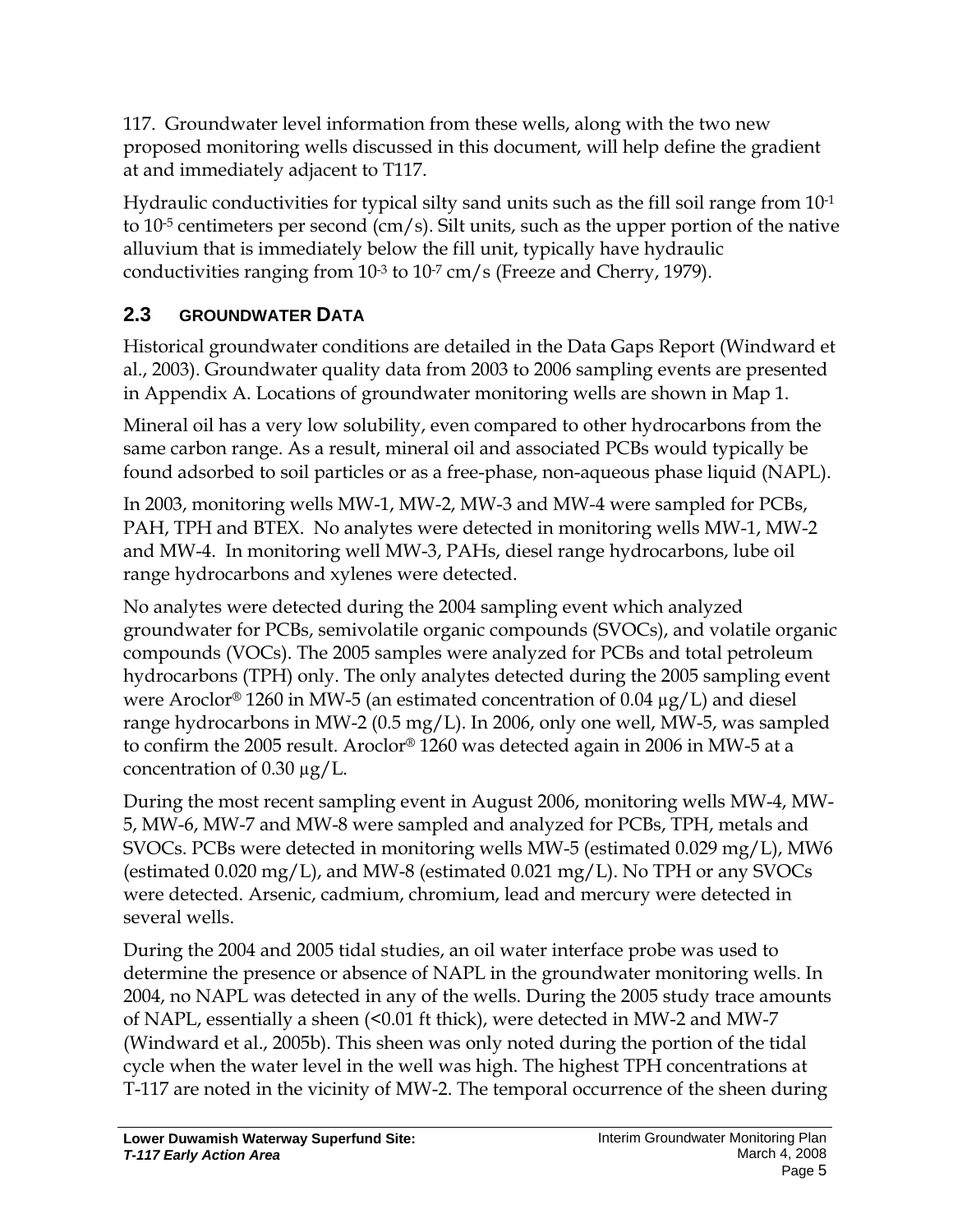117. Groundwater level information from these wells, along with the two new proposed monitoring wells discussed in this document, will help define the gradient at and immediately adjacent to T117.

Hydraulic conductivities for typical silty sand units such as the fill soil range from  $10^{-1}$ to 10<sup>-5</sup> centimeters per second (cm/s). Silt units, such as the upper portion of the native alluvium that is immediately below the fill unit, typically have hydraulic conductivities ranging from  $10^{-3}$  to  $10^{-7}$  cm/s (Freeze and Cherry, 1979).

## **2.3 GROUNDWATER DATA**

Historical groundwater conditions are detailed in the Data Gaps Report (Windward et al., 2003). Groundwater quality data from 2003 to 2006 sampling events are presented in Appendix A. Locations of groundwater monitoring wells are shown in Map 1.

Mineral oil has a very low solubility, even compared to other hydrocarbons from the same carbon range. As a result, mineral oil and associated PCBs would typically be found adsorbed to soil particles or as a free-phase, non-aqueous phase liquid (NAPL).

In 2003, monitoring wells MW-1, MW-2, MW-3 and MW-4 were sampled for PCBs, PAH, TPH and BTEX. No analytes were detected in monitoring wells MW-1, MW-2 and MW-4. In monitoring well MW-3, PAHs, diesel range hydrocarbons, lube oil range hydrocarbons and xylenes were detected.

No analytes were detected during the 2004 sampling event which analyzed groundwater for PCBs, semivolatile organic compounds (SVOCs), and volatile organic compounds (VOCs). The 2005 samples were analyzed for PCBs and total petroleum hydrocarbons (TPH) only. The only analytes detected during the 2005 sampling event were Aroclor<sup>®</sup> 1260 in MW-5 (an estimated concentration of 0.04  $\mu$ g/L) and diesel range hydrocarbons in MW-2 (0.5 mg/L). In 2006, only one well, MW-5, was sampled to confirm the 2005 result. Aroclor® 1260 was detected again in 2006 in MW-5 at a concentration of  $0.30 \mu g/L$ .

During the most recent sampling event in August 2006, monitoring wells MW-4, MW-5, MW-6, MW-7 and MW-8 were sampled and analyzed for PCBs, TPH, metals and SVOCs. PCBs were detected in monitoring wells MW-5 (estimated 0.029 mg/L), MW6 (estimated 0.020 mg/L), and MW-8 (estimated 0.021 mg/L). No TPH or any SVOCs were detected. Arsenic, cadmium, chromium, lead and mercury were detected in several wells.

During the 2004 and 2005 tidal studies, an oil water interface probe was used to determine the presence or absence of NAPL in the groundwater monitoring wells. In 2004, no NAPL was detected in any of the wells. During the 2005 study trace amounts of NAPL, essentially a sheen (<0.01 ft thick), were detected in MW-2 and MW-7 (Windward et al., 2005b). This sheen was only noted during the portion of the tidal cycle when the water level in the well was high. The highest TPH concentrations at T-117 are noted in the vicinity of MW-2. The temporal occurrence of the sheen during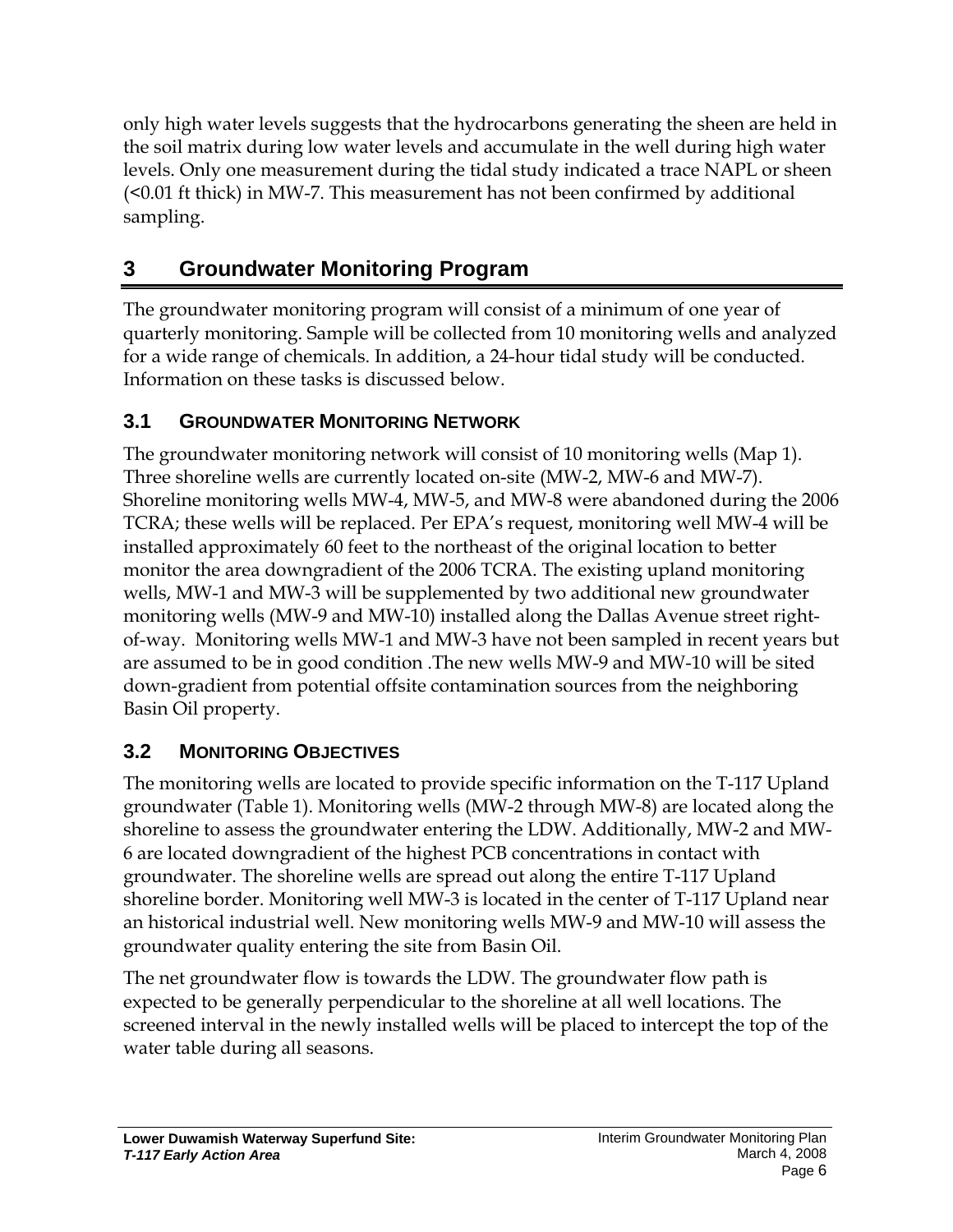only high water levels suggests that the hydrocarbons generating the sheen are held in the soil matrix during low water levels and accumulate in the well during high water levels. Only one measurement during the tidal study indicated a trace NAPL or sheen (<0.01 ft thick) in MW-7. This measurement has not been confirmed by additional sampling.

# **3 Groundwater Monitoring Program**

The groundwater monitoring program will consist of a minimum of one year of quarterly monitoring. Sample will be collected from 10 monitoring wells and analyzed for a wide range of chemicals. In addition, a 24-hour tidal study will be conducted. Information on these tasks is discussed below.

# **3.1 GROUNDWATER MONITORING NETWORK**

The groundwater monitoring network will consist of 10 monitoring wells (Map 1). Three shoreline wells are currently located on-site (MW-2, MW-6 and MW-7). Shoreline monitoring wells MW-4, MW-5, and MW-8 were abandoned during the 2006 TCRA; these wells will be replaced. Per EPA's request, monitoring well MW-4 will be installed approximately 60 feet to the northeast of the original location to better monitor the area downgradient of the 2006 TCRA. The existing upland monitoring wells, MW-1 and MW-3 will be supplemented by two additional new groundwater monitoring wells (MW-9 and MW-10) installed along the Dallas Avenue street rightof-way. Monitoring wells MW-1 and MW-3 have not been sampled in recent years but are assumed to be in good condition .The new wells MW-9 and MW-10 will be sited down-gradient from potential offsite contamination sources from the neighboring Basin Oil property.

# **3.2 MONITORING OBJECTIVES**

The monitoring wells are located to provide specific information on the T-117 Upland groundwater (Table 1). Monitoring wells (MW-2 through MW-8) are located along the shoreline to assess the groundwater entering the LDW. Additionally, MW-2 and MW-6 are located downgradient of the highest PCB concentrations in contact with groundwater. The shoreline wells are spread out along the entire T-117 Upland shoreline border. Monitoring well MW-3 is located in the center of T-117 Upland near an historical industrial well. New monitoring wells MW-9 and MW-10 will assess the groundwater quality entering the site from Basin Oil.

The net groundwater flow is towards the LDW. The groundwater flow path is expected to be generally perpendicular to the shoreline at all well locations. The screened interval in the newly installed wells will be placed to intercept the top of the water table during all seasons.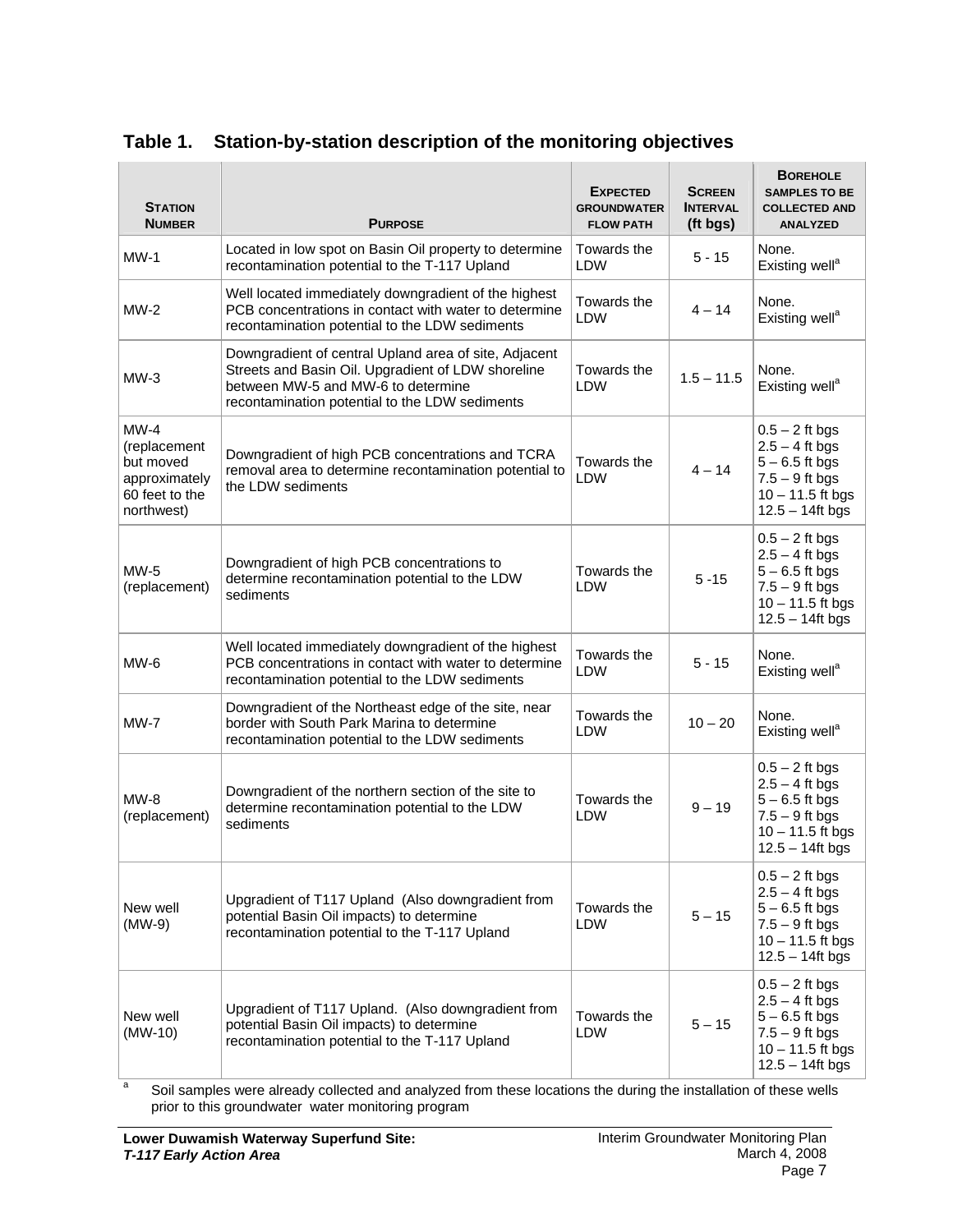| <b>STATION</b><br><b>NUMBER</b>                                                                                                                                         | <b>PURPOSE</b>                                                                                                                                                                                      | <b>EXPECTED</b><br><b>GROUNDWATER</b><br><b>FLOW PATH</b> | <b>SCREEN</b><br><b>INTERVAL</b><br>(ft bgs) | <b>BOREHOLE</b><br><b>SAMPLES TO BE</b><br><b>COLLECTED AND</b><br><b>ANALYZED</b>                                       |
|-------------------------------------------------------------------------------------------------------------------------------------------------------------------------|-----------------------------------------------------------------------------------------------------------------------------------------------------------------------------------------------------|-----------------------------------------------------------|----------------------------------------------|--------------------------------------------------------------------------------------------------------------------------|
| $MW-1$                                                                                                                                                                  | Located in low spot on Basin Oil property to determine<br>recontamination potential to the T-117 Upland                                                                                             | Towards the<br><b>LDW</b>                                 | $5 - 15$                                     | None.<br>Existing well <sup>a</sup>                                                                                      |
| $MW-2$                                                                                                                                                                  | Well located immediately downgradient of the highest<br>PCB concentrations in contact with water to determine<br>recontamination potential to the LDW sediments                                     | Towards the<br>LDW                                        | $4 - 14$                                     | None.<br>Existing well <sup>a</sup>                                                                                      |
| $MW-3$                                                                                                                                                                  | Downgradient of central Upland area of site, Adjacent<br>Streets and Basin Oil. Upgradient of LDW shoreline<br>between MW-5 and MW-6 to determine<br>recontamination potential to the LDW sediments | Towards the<br>LDW                                        | $1.5 - 11.5$                                 | None.<br>Existing well <sup>a</sup>                                                                                      |
| $MW-4$<br>(replacement<br>but moved<br>approximately<br>60 feet to the<br>northwest)                                                                                    | Downgradient of high PCB concentrations and TCRA<br>removal area to determine recontamination potential to<br>the LDW sediments                                                                     | Towards the<br>LDW                                        | $4 - 14$                                     | $0.5 - 2$ ft bgs<br>$2.5 - 4$ ft bgs<br>$5 - 6.5$ ft bgs<br>$7.5 - 9$ ft bgs<br>$10 - 11.5$ ft bgs<br>$12.5 - 14$ ft bgs |
| $MW-5$<br>(replacement)                                                                                                                                                 | Downgradient of high PCB concentrations to<br>determine recontamination potential to the LDW<br>sediments                                                                                           | Towards the<br>LDW                                        | $5 - 15$                                     | $0.5 - 2$ ft bgs<br>$2.5 - 4$ ft bgs<br>$5 - 6.5$ ft bgs<br>$7.5 - 9$ ft bgs<br>$10 - 11.5$ ft bgs<br>$12.5 - 14$ ft bgs |
| $MW-6$                                                                                                                                                                  | Well located immediately downgradient of the highest<br>PCB concentrations in contact with water to determine<br>recontamination potential to the LDW sediments                                     | Towards the<br>LDW                                        | $5 - 15$                                     | None.<br>Existing well <sup>a</sup>                                                                                      |
| $MW-7$                                                                                                                                                                  | Downgradient of the Northeast edge of the site, near<br>border with South Park Marina to determine<br>recontamination potential to the LDW sediments                                                | Towards the<br><b>LDW</b>                                 | $10 - 20$                                    | None.<br>Existing well <sup>a</sup>                                                                                      |
| $MW-8$<br>(replacement)                                                                                                                                                 | Downgradient of the northern section of the site to<br>determine recontamination potential to the LDW<br>sediments                                                                                  | Towards the<br>LDW                                        | $9 - 19$                                     | $0.5 - 2$ ft bgs<br>$2.5 - 4$ ft bgs<br>$5 - 6.5$ ft bgs<br>$7.5 - 9$ ft bgs<br>$10 - 11.5$ ft bgs<br>$12.5 - 14$ ft bgs |
| New well<br>(MW-9)                                                                                                                                                      | Upgradient of T117 Upland (Also downgradient from<br>potential Basin Oil impacts) to determine<br>recontamination potential to the T-117 Upland                                                     | Towards the<br>LDW                                        | $5 - 15$                                     | $0.5 - 2$ ft bgs<br>$2.5 - 4$ ft bgs<br>$5 - 6.5$ ft bgs<br>$7.5 - 9$ ft bgs<br>$10 - 11.5$ ft bgs<br>$12.5 - 14$ ft bgs |
| Upgradient of T117 Upland. (Also downgradient from<br>New well<br>potential Basin Oil impacts) to determine<br>(MW-10)<br>recontamination potential to the T-117 Upland |                                                                                                                                                                                                     | Towards the<br><b>LDW</b>                                 | $5 - 15$                                     | $0.5 - 2$ ft bgs<br>$2.5 - 4$ ft bgs<br>$5 - 6.5$ ft bgs<br>$7.5 - 9$ ft bgs<br>$10 - 11.5$ ft bgs<br>$12.5 - 14$ ft bgs |

#### **Table 1. Station-by-station description of the monitoring objectives**

a Soil samples were already collected and analyzed from these locations the during the installation of these wells prior to this groundwater water monitoring program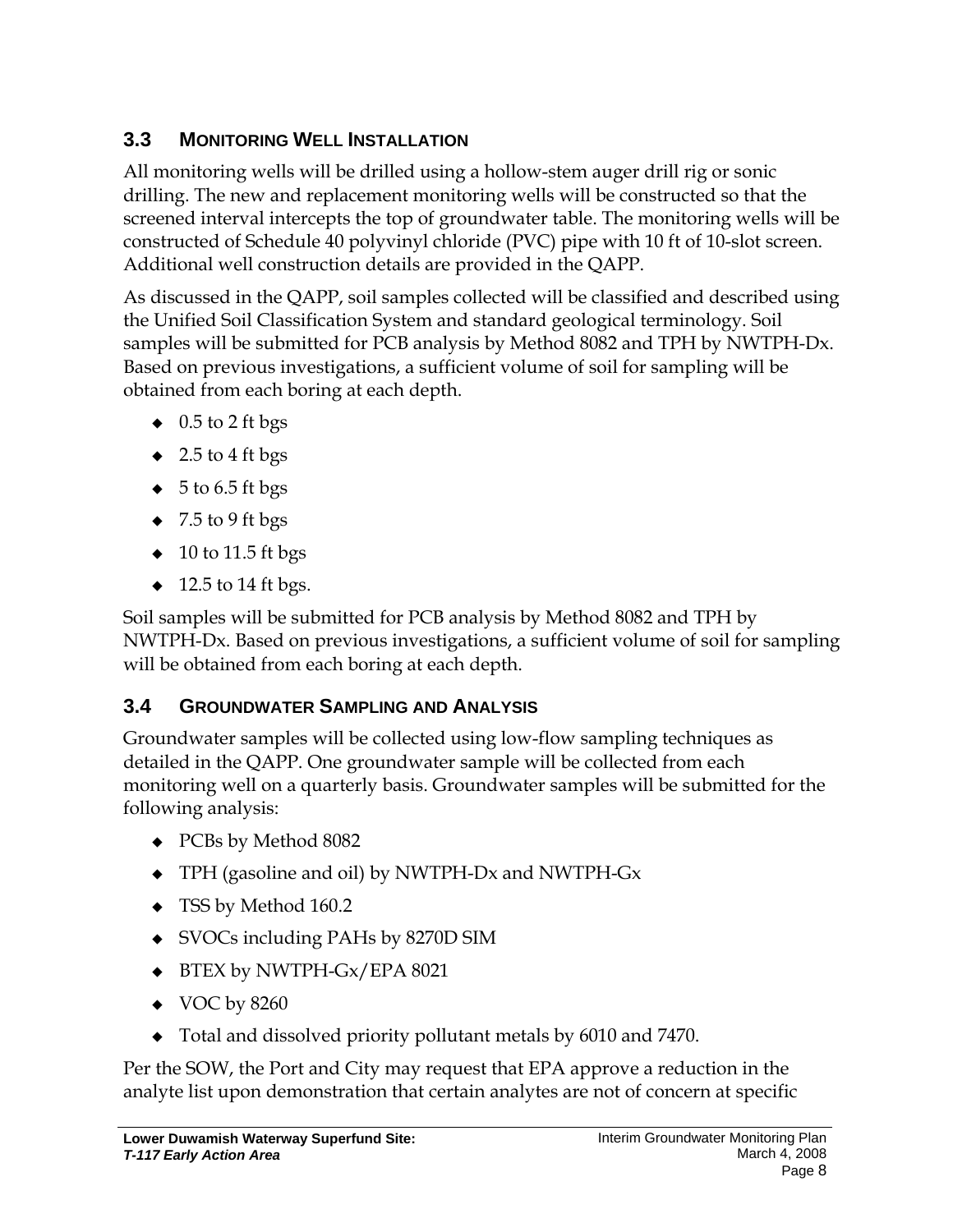## **3.3 MONITORING WELL INSTALLATION**

All monitoring wells will be drilled using a hollow-stem auger drill rig or sonic drilling. The new and replacement monitoring wells will be constructed so that the screened interval intercepts the top of groundwater table. The monitoring wells will be constructed of Schedule 40 polyvinyl chloride (PVC) pipe with 10 ft of 10-slot screen. Additional well construction details are provided in the QAPP.

As discussed in the QAPP, soil samples collected will be classified and described using the Unified Soil Classification System and standard geological terminology. Soil samples will be submitted for PCB analysis by Method 8082 and TPH by NWTPH-Dx. Based on previous investigations, a sufficient volume of soil for sampling will be obtained from each boring at each depth.

- $\bullet$  0.5 to 2 ft bgs
- $\bullet$  2.5 to 4 ft bgs
- $\bullet$  5 to 6.5 ft bgs
- $\bullet$  7.5 to 9 ft bgs
- $\bullet$  10 to 11.5 ft bgs
- $\bullet$  12.5 to 14 ft bgs.

Soil samples will be submitted for PCB analysis by Method 8082 and TPH by NWTPH-Dx. Based on previous investigations, a sufficient volume of soil for sampling will be obtained from each boring at each depth.

#### **3.4 GROUNDWATER SAMPLING AND ANALYSIS**

Groundwater samples will be collected using low-flow sampling techniques as detailed in the QAPP. One groundwater sample will be collected from each monitoring well on a quarterly basis. Groundwater samples will be submitted for the following analysis:

- PCBs by Method 8082
- TPH (gasoline and oil) by NWTPH-Dx and NWTPH-Gx
- ◆ TSS by Method 160.2
- SVOCs including PAHs by 8270D SIM
- ◆ BTEX by NWTPH-Gx/EPA 8021
- $\blacklozenge$  VOC by 8260
- Total and dissolved priority pollutant metals by 6010 and 7470.

Per the SOW, the Port and City may request that EPA approve a reduction in the analyte list upon demonstration that certain analytes are not of concern at specific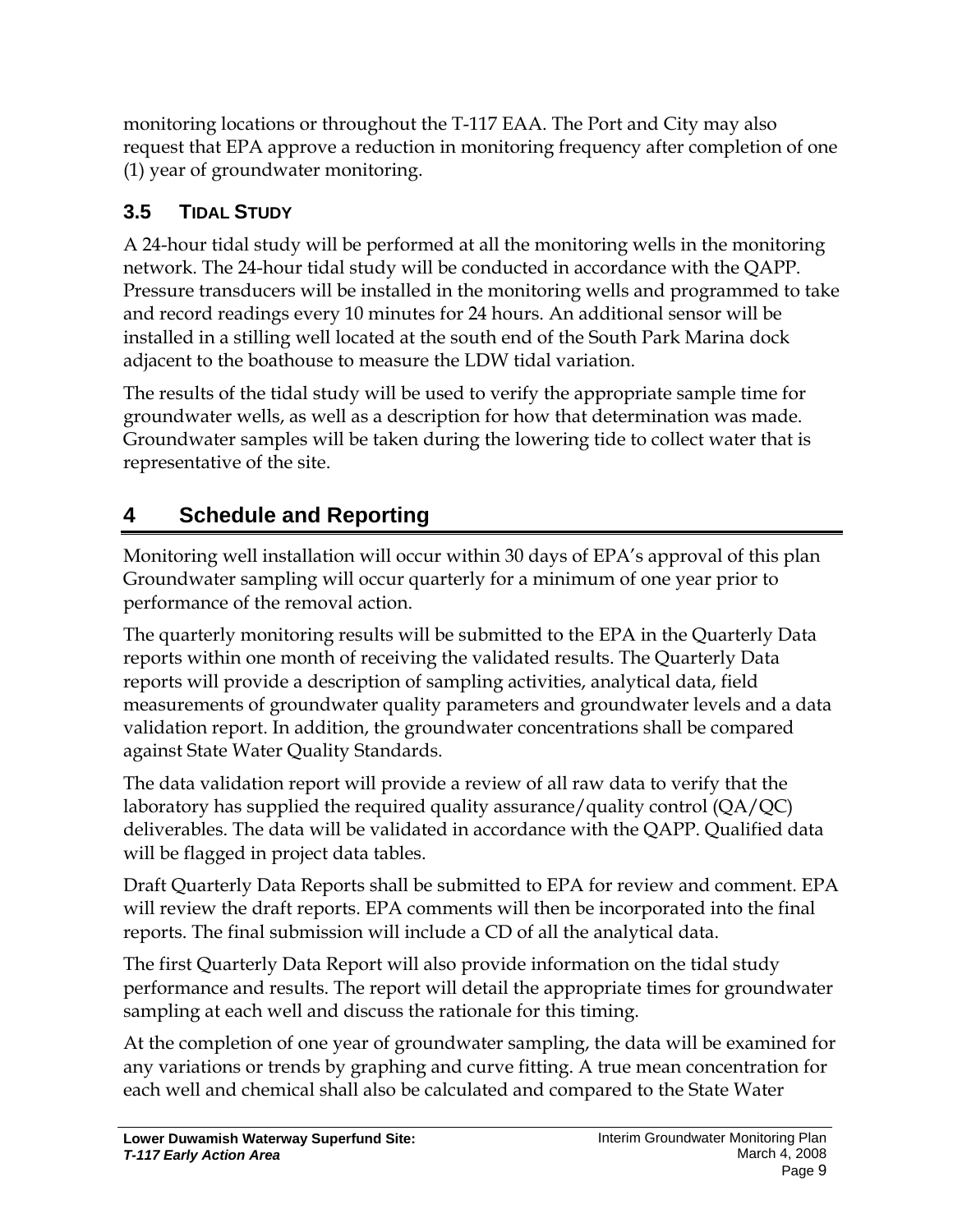monitoring locations or throughout the T-117 EAA. The Port and City may also request that EPA approve a reduction in monitoring frequency after completion of one (1) year of groundwater monitoring.

# **3.5 TIDAL STUDY**

A 24-hour tidal study will be performed at all the monitoring wells in the monitoring network. The 24-hour tidal study will be conducted in accordance with the QAPP. Pressure transducers will be installed in the monitoring wells and programmed to take and record readings every 10 minutes for 24 hours. An additional sensor will be installed in a stilling well located at the south end of the South Park Marina dock adjacent to the boathouse to measure the LDW tidal variation.

The results of the tidal study will be used to verify the appropriate sample time for groundwater wells, as well as a description for how that determination was made. Groundwater samples will be taken during the lowering tide to collect water that is representative of the site.

# **4 Schedule and Reporting**

Monitoring well installation will occur within 30 days of EPA's approval of this plan Groundwater sampling will occur quarterly for a minimum of one year prior to performance of the removal action.

The quarterly monitoring results will be submitted to the EPA in the Quarterly Data reports within one month of receiving the validated results. The Quarterly Data reports will provide a description of sampling activities, analytical data, field measurements of groundwater quality parameters and groundwater levels and a data validation report. In addition, the groundwater concentrations shall be compared against State Water Quality Standards.

The data validation report will provide a review of all raw data to verify that the laboratory has supplied the required quality assurance/quality control (QA/QC) deliverables. The data will be validated in accordance with the QAPP. Qualified data will be flagged in project data tables.

Draft Quarterly Data Reports shall be submitted to EPA for review and comment. EPA will review the draft reports. EPA comments will then be incorporated into the final reports. The final submission will include a CD of all the analytical data.

The first Quarterly Data Report will also provide information on the tidal study performance and results. The report will detail the appropriate times for groundwater sampling at each well and discuss the rationale for this timing.

At the completion of one year of groundwater sampling, the data will be examined for any variations or trends by graphing and curve fitting. A true mean concentration for each well and chemical shall also be calculated and compared to the State Water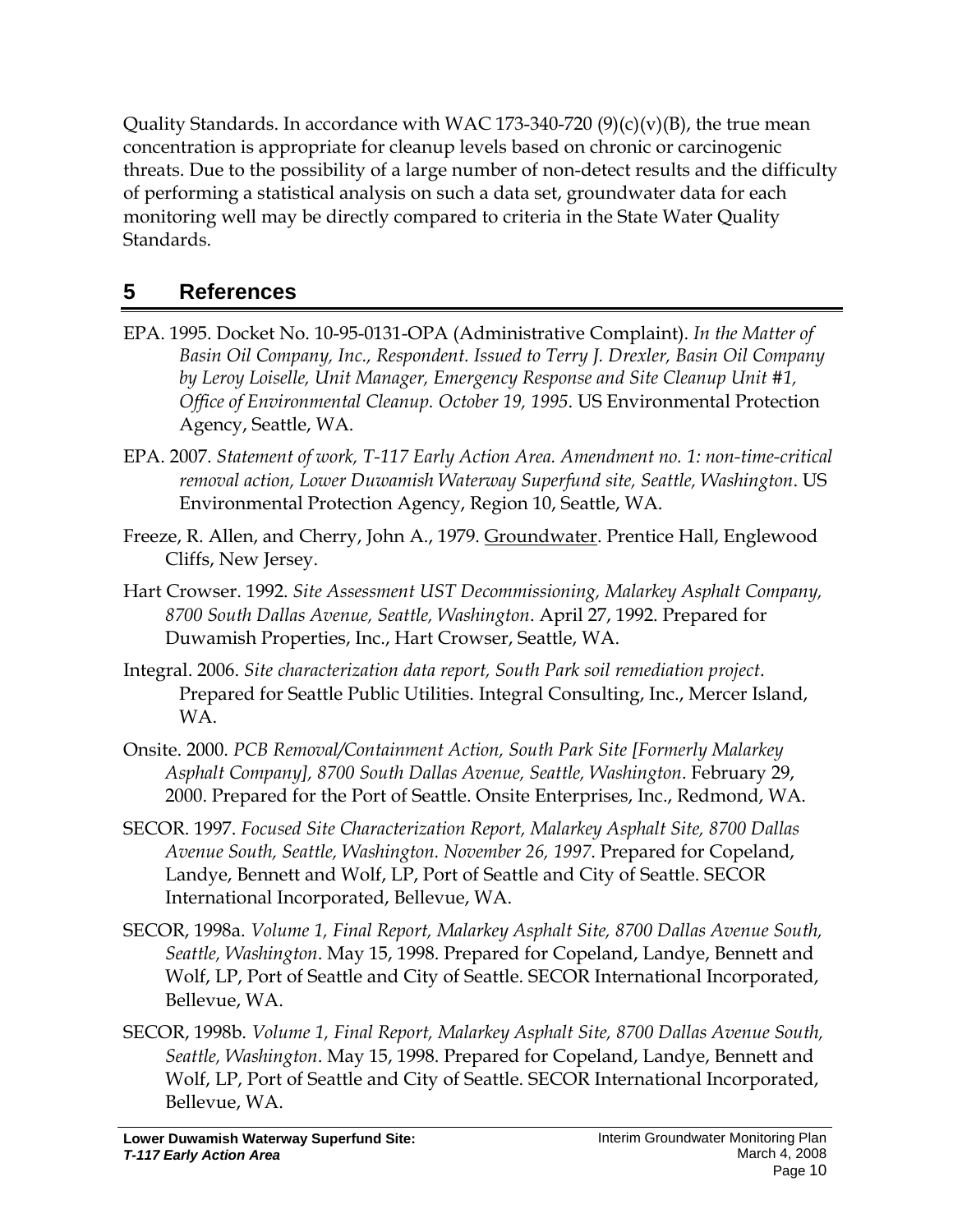Quality Standards. In accordance with WAC 173-340-720  $(9)(c)(v)(B)$ , the true mean concentration is appropriate for cleanup levels based on chronic or carcinogenic threats. Due to the possibility of a large number of non-detect results and the difficulty of performing a statistical analysis on such a data set, groundwater data for each monitoring well may be directly compared to criteria in the State Water Quality Standards.

# **5 References**

- EPA. 1995. Docket No. 10-95-0131-OPA (Administrative Complaint). *In the Matter of Basin Oil Company, Inc., Respondent. Issued to Terry J. Drexler, Basin Oil Company by Leroy Loiselle, Unit Manager, Emergency Response and Site Cleanup Unit #1, Office of Environmental Cleanup. October 19, 1995*. US Environmental Protection Agency, Seattle, WA.
- EPA. 2007. *Statement of work, T-117 Early Action Area. Amendment no. 1: non-time-critical removal action, Lower Duwamish Waterway Superfund site, Seattle, Washington*. US Environmental Protection Agency, Region 10, Seattle, WA.
- Freeze, R. Allen, and Cherry, John A., 1979. Groundwater. Prentice Hall, Englewood Cliffs, New Jersey.
- Hart Crowser. 1992. *Site Assessment UST Decommissioning, Malarkey Asphalt Company, 8700 South Dallas Avenue, Seattle, Washington*. April 27, 1992. Prepared for Duwamish Properties, Inc., Hart Crowser, Seattle, WA.
- Integral. 2006. *Site characterization data report, South Park soil remediation project*. Prepared for Seattle Public Utilities. Integral Consulting, Inc., Mercer Island, WA.
- Onsite. 2000. *PCB Removal/Containment Action, South Park Site [Formerly Malarkey Asphalt Company], 8700 South Dallas Avenue, Seattle, Washington*. February 29, 2000. Prepared for the Port of Seattle. Onsite Enterprises, Inc., Redmond, WA.
- SECOR. 1997. *Focused Site Characterization Report, Malarkey Asphalt Site, 8700 Dallas Avenue South, Seattle, Washington. November 26, 1997*. Prepared for Copeland, Landye, Bennett and Wolf, LP, Port of Seattle and City of Seattle. SECOR International Incorporated, Bellevue, WA.
- SECOR, 1998a. *Volume 1, Final Report, Malarkey Asphalt Site, 8700 Dallas Avenue South, Seattle, Washington*. May 15, 1998. Prepared for Copeland, Landye, Bennett and Wolf, LP, Port of Seattle and City of Seattle. SECOR International Incorporated, Bellevue, WA.
- SECOR, 1998b. *Volume 1, Final Report, Malarkey Asphalt Site, 8700 Dallas Avenue South, Seattle, Washington*. May 15, 1998. Prepared for Copeland, Landye, Bennett and Wolf, LP, Port of Seattle and City of Seattle. SECOR International Incorporated, Bellevue, WA.